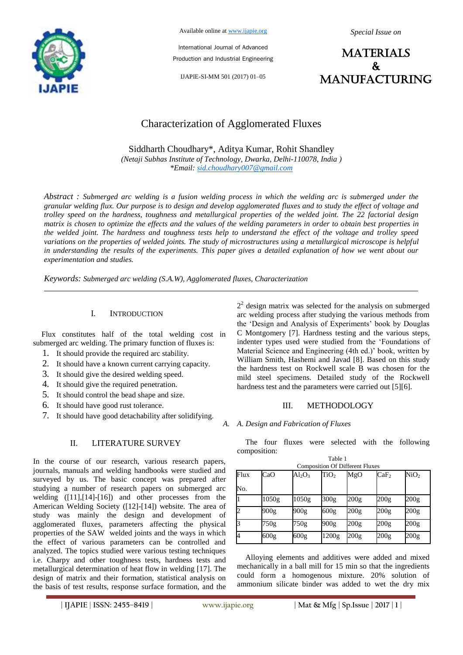

Available online at www.ijapie.org

International Journal of Advanced Production and Industrial Engineering

IJAPIE-SI-MM 501 (2017) 01–05

*Special Issue on*

**MATERIALS**  $\mathbf{r}$ manufacturing

# Characterization of Agglomerated Fluxes

Siddharth Choudhary\*, Aditya Kumar, Rohit Shandley *(Netaji Subhas Institute of Technology, Dwarka, Delhi-110078, India ) \*Email: sid.choudhary007@gmail.com*

*Abstract : Submerged arc welding is a fusion welding process in which the welding arc is submerged under the granular welding flux. Our purpose is to design and develop agglomerated fluxes and to study the effect of voltage and trolley speed on the hardness, toughness and metallurgical properties of the welded joint. The 22 factorial design matrix is chosen to optimize the effects and the values of the welding parameters in order to obtain best properties in the welded joint. The hardness and toughness tests help to understand the effect of the voltage and trolley speed variations on the properties of welded joints. The study of microstructures using a metallurgical microscope is helpful in understanding the results of the experiments. This paper gives a detailed explanation of how we went about our experimentation and studies.*

*Keywords: Submerged arc welding (S.A.W), Agglomerated fluxes, Characterization*

# I. INTRODUCTION

Flux constitutes half of the total welding cost in submerged arc welding. The primary function of fluxes is:

- 1. It should provide the required arc stability.
- 2. It should have a known current carrying capacity.
- 3. It should give the desired welding speed.
- 4. It should give the required penetration.
- 5. It should control the bead shape and size.
- 6. It should have good rust tolerance.
- 7. It should have good detachability after solidifying.

# II. LITERATURE SURVEY

In the course of our research, various research papers, journals, manuals and welding handbooks were studied and surveyed by us. The basic concept was prepared after studying a number of research papers on submerged arc welding ([11],[14]-[16]) and other processes from the American Welding Society ([12]-[14]) website. The area of study was mainly the design and development of agglomerated fluxes, parameters affecting the physical properties of the SAW welded joints and the ways in which the effect of various parameters can be controlled and analyzed. The topics studied were various testing techniques i.e. Charpy and other toughness tests, hardness tests and metallurgical determination of heat flow in welding [17]. The design of matrix and their formation, statistical analysis on the basis of test results, response surface formation, and the

 $2<sup>2</sup>$  design matrix was selected for the analysis on submerged arc welding process after studying the various methods from the 'Design and Analysis of Experiments' book by Douglas C Montgomery [7]. Hardness testing and the various steps, indenter types used were studied from the 'Foundations of Material Science and Engineering (4th ed.)' book, written by William Smith, Hashemi and Javad [8]. Based on this study the hardness test on Rockwell scale B was chosen for the mild steel specimens. Detailed study of the Rockwell hardness test and the parameters were carried out [5][6].

# III. METHODOLOGY

*A. A. Design and Fabrication of Fluxes*

The four fluxes were selected with the following composition: Table 1

|      | <b>Composition Of Different Fluxes</b> |           |                  |      |                  |                  |
|------|----------------------------------------|-----------|------------------|------|------------------|------------------|
| Flux | CaO                                    | $Al_2O_3$ | TiO <sub>2</sub> | MgO  | CaF <sub>2</sub> | NiO <sub>2</sub> |
| No.  |                                        |           |                  |      |                  |                  |
|      | 1050g                                  | 1050g     | 300g             | 200g | 200g             | 200g             |
|      | 900g                                   | 900g      | 600 <sub>g</sub> | 200g | 200g             | 200 <sub>g</sub> |
|      | 750g                                   | 750g      | 900g             | 200g | 200g             | 200g             |
|      | 600g                                   | 600g      | 1200g            | 200g | 200g             | 200g             |

Alloying elements and additives were added and mixed mechanically in a ball mill for 15 min so that the ingredients could form a homogenous mixture. 20% solution of ammonium silicate binder was added to wet the dry mix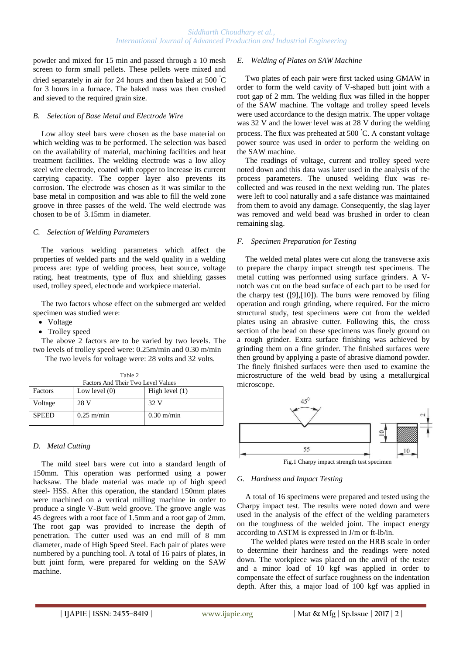powder and mixed for 15 min and passed through a 10 mesh screen to form small pellets. These pellets were mixed and dried separately in air for 24 hours and then baked at 500 **<sup>∙</sup>** C for 3 hours in a furnace. The baked mass was then crushed and sieved to the required grain size.

#### *B. Selection of Base Metal and Electrode Wire*

Low alloy steel bars were chosen as the base material on which welding was to be performed. The selection was based on the availability of material, machining facilities and heat treatment facilities. The welding electrode was a low alloy steel wire electrode, coated with copper to increase its current carrying capacity. The copper layer also prevents its corrosion. The electrode was chosen as it was similar to the base metal in composition and was able to fill the weld zone groove in three passes of the weld. The weld electrode was chosen to be of 3.15mm in diameter.

#### *C. Selection of Welding Parameters*

The various welding parameters which affect the properties of welded parts and the weld quality in a welding process are: type of welding process, heat source, voltage rating, heat treatments, type of flux and shielding gasses used, trolley speed, electrode and workpiece material.

The two factors whose effect on the submerged arc welded specimen was studied were:

- Voltage
- Trolley speed

The above 2 factors are to be varied by two levels. The two levels of trolley speed were: 0.25m/min and 0.30 m/min

 The two levels for voltage were: 28 volts and 32 volts. Table 2

| Factors And Their Two Level Values |                 |                      |  |  |
|------------------------------------|-----------------|----------------------|--|--|
| Factors                            | Low level $(0)$ | High level $(1)$     |  |  |
| Voltage                            | 28 V            | 32 V                 |  |  |
| <b>SPEED</b>                       | $0.25$ m/min    | $0.30 \text{ m/min}$ |  |  |

#### *D. Metal Cutting*

The mild steel bars were cut into a standard length of 150mm. This operation was performed using a power hacksaw. The blade material was made up of high speed steel- HSS. After this operation, the standard 150mm plates were machined on a vertical milling machine in order to produce a single V-Butt weld groove. The groove angle was 45 degrees with a root face of 1.5mm and a root gap of 2mm. The root gap was provided to increase the depth of penetration. The cutter used was an end mill of 8 mm diameter, made of High Speed Steel. Each pair of plates were numbered by a punching tool. A total of 16 pairs of plates, in butt joint form, were prepared for welding on the SAW machine.

#### *E. Welding of Plates on SAW Machine*

Two plates of each pair were first tacked using GMAW in order to form the weld cavity of V-shaped butt joint with a root gap of 2 mm. The welding flux was filled in the hopper of the SAW machine. The voltage and trolley speed levels were used accordance to the design matrix. The upper voltage was 32 V and the lower level was at 28 V during the welding process. The flux was preheated at 500 **<sup>∙</sup>** C. A constant voltage power source was used in order to perform the welding on the SAW machine.

The readings of voltage, current and trolley speed were noted down and this data was later used in the analysis of the process parameters. The unused welding flux was recollected and was reused in the next welding run. The plates were left to cool naturally and a safe distance was maintained from them to avoid any damage. Consequently, the slag layer was removed and weld bead was brushed in order to clean remaining slag.

#### *F. Specimen Preparation for Testing*

The welded metal plates were cut along the transverse axis to prepare the charpy impact strength test specimens. The metal cutting was performed using surface grinders. A Vnotch was cut on the bead surface of each part to be used for the charpy test  $([9],[10])$ . The burrs were removed by filing operation and rough grinding, where required. For the micro structural study, test specimens were cut from the welded plates using an abrasive cutter. Following this, the cross section of the bead on these specimens was finely ground on a rough grinder. Extra surface finishing was achieved by grinding them on a fine grinder. The finished surfaces were then ground by applying a paste of abrasive diamond powder. The finely finished surfaces were then used to examine the microstructure of the weld bead by using a metallurgical microscope.



#### *G. Hardness and Impact Testing*

A total of 16 specimens were prepared and tested using the Charpy impact test. The results were noted down and were used in the analysis of the effect of the welding parameters on the toughness of the welded joint. The impact energy according to ASTM is expressed in J/m or ft-lb/in.

 The welded plates were tested on the HRB scale in order to determine their hardness and the readings were noted down. The workpiece was placed on the anvil of the tester and a minor load of 10 kgf was applied in order to compensate the effect of surface roughness on the indentation depth. After this, a major load of 100 kgf was applied in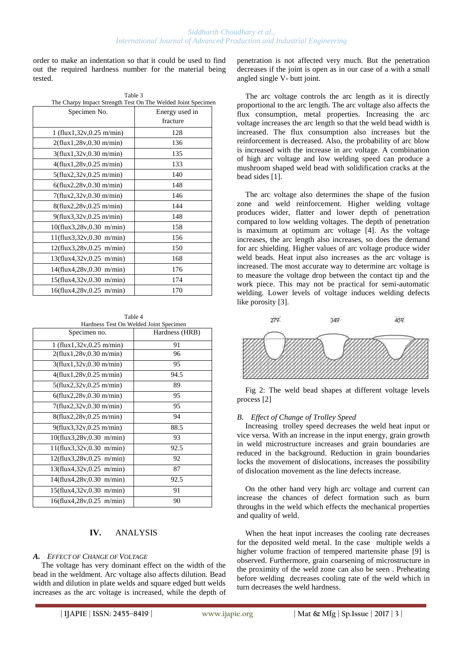order to make an indentation so that it could be used to find out the required hardness number for the material being tested.

| Table 3                                                      |                |  |  |  |  |
|--------------------------------------------------------------|----------------|--|--|--|--|
| The Charpy Impact Strength Test On The Welded Joint Specimen |                |  |  |  |  |
| Specimen No.                                                 | Energy used in |  |  |  |  |
|                                                              | fracture       |  |  |  |  |
| 1 (flux1,32v,0.25 m/min)                                     | 128            |  |  |  |  |
| 2(flux1, 28v, 0.30 m/min)                                    | 136            |  |  |  |  |
| $3$ (flux1,32v,0.30 m/min)                                   | 135            |  |  |  |  |
| 4(flux1,28v,0.25 m/min)                                      | 133            |  |  |  |  |
| $5$ (flux2,32v,0.25 m/min)                                   | 140            |  |  |  |  |
| $6$ (flux2,28v,0.30 m/min)                                   | 148            |  |  |  |  |
| 7(flux2,32v,0.30 m/min)                                      | 146            |  |  |  |  |
| $8$ (flux2,28v,0.25 m/min)                                   | 144            |  |  |  |  |
| $9$ (flux3,32v,0.25 m/min)                                   | 148            |  |  |  |  |
| $10$ (flux3,28v,0.30 m/min)                                  | 158            |  |  |  |  |
| 11(flux3,32v,0.30 m/min)                                     | 156            |  |  |  |  |
| $12$ (flux3,28v,0.25 m/min)                                  | 150            |  |  |  |  |
| $13$ (flux4,32v,0.25 m/min)                                  | 168            |  |  |  |  |
| 14(flux4,28v,0.30 m/min)                                     | 176            |  |  |  |  |
| $15$ (flux4,32v,0.30 m/min)                                  | 174            |  |  |  |  |
| 16(flux4,28v,0.25 m/min)                                     | 170            |  |  |  |  |

Table 4 Hardness Test On Welded Joint Specimen

| Specimen no.                | Hardness (HRB) |
|-----------------------------|----------------|
| $1$ (flux1,32v,0.25 m/min)  | 91             |
| $2$ (flux1,28v,0.30 m/min)  | 96             |
| $3$ (flux1,32v,0.30 m/min)  | 95             |
| $4$ (flux1,28v,0.25 m/min)  | 94.5           |
| $5$ (flux2,32v,0.25 m/min)  | 89             |
| $6$ (flux2,28v,0.30 m/min)  | 95             |
| 7(flux2,32v,0.30 m/min)     | 95             |
| $8$ (flux2,28v,0.25 m/min)  | 94             |
| $9$ (flux3,32v,0.25 m/min)  | 88.5           |
| $10$ (flux3,28v,0.30 m/min) | 93             |
| 11(flux3,32v,0.30 m/min)    | 92.5           |
| $12$ (flux3,28v,0.25 m/min) | 92             |
| $13$ (flux4,32v,0.25 m/min) | 87             |
| 14(flux4,28v,0.30 m/min)    | 92.5           |
| $15$ (flux4,32v,0.30 m/min) | 91             |
| 16(flux4,28v,0.25 m/min)    | 90             |

# **IV.** ANALYSIS

#### *A. EFFECT OF CHANGE OF VOLTAGE*

The voltage has very dominant effect on the width of the bead in the weldment. Arc voltage also affects dilution. Bead width and dilution in plate welds and square edged butt welds increases as the arc voltage is increased, while the depth of penetration is not affected very much. But the penetration decreases if the joint is open as in our case of a with a small angled single V- butt joint.

The arc voltage controls the arc length as it is directly proportional to the arc length. The arc voltage also affects the flux consumption, metal properties. Increasing the arc voltage increases the arc length so that the weld bead width is increased. The flux consumption also increases but the reinforcement is decreased. Also, the probability of arc blow is increased with the increase in arc voltage. A combination of high arc voltage and low welding speed can produce a mushroom shaped weld bead with solidification cracks at the bead sides [1].

The arc voltage also determines the shape of the fusion zone and weld reinforcement. Higher welding voltage produces wider, flatter and lower depth of penetration compared to low welding voltages. The depth of penetration is maximum at optimum arc voltage [4]. As the voltage increases, the arc length also increases, so does the demand for arc shielding. Higher values of arc voltage produce wider weld beads. Heat input also increases as the arc voltage is increased. The most accurate way to determine arc voltage is to measure the voltage drop between the contact tip and the work piece. This may not be practical for semi-automatic welding. Lower levels of voltage induces welding defects like porosity [3].



Fig 2: The weld bead shapes at different voltage levels process [2]

#### *B. Effect of Change of Trolley Speed*

Increasing trolley speed decreases the weld heat input or vice versa. With an increase in the input energy, grain growth in weld microstructure increases and grain boundaries are reduced in the background. Reduction in grain boundaries locks the movement of dislocations, increases the possibility of dislocation movement as the line defects increase.

On the other hand very high arc voltage and current can increase the chances of defect formation such as burn throughs in the weld which effects the mechanical properties and quality of weld.

When the heat input increases the cooling rate decreases for the deposited weld metal. In the case multiple welds a higher volume fraction of tempered martensite phase [9] is observed. Furthermore, grain coarsening of microstructure in the proximity of the weld zone can also be seen . Preheating before welding decreases cooling rate of the weld which in turn decreases the weld hardness.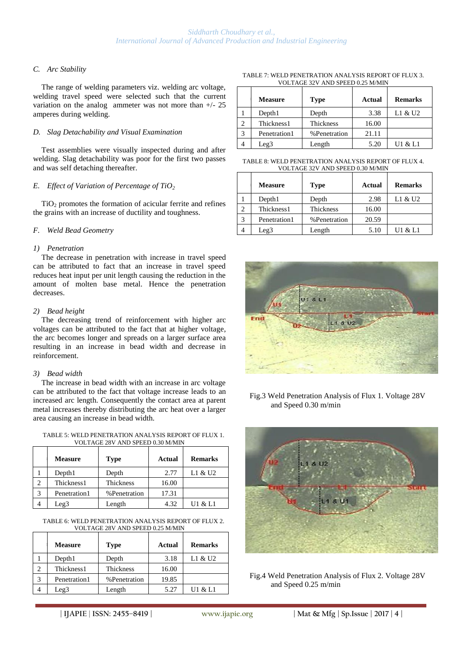# *C. Arc Stability*

The range of welding parameters viz. welding arc voltage, welding travel speed were selected such that the current variation on the analog ammeter was not more than  $+/- 25$ amperes during welding.

### *D. Slag Detachability and Visual Examination*

Test assemblies were visually inspected during and after welding. Slag detachability was poor for the first two passes and was self detaching thereafter.

# *E. Effect of Variation of Percentage of TiO<sup>2</sup>*

 $TiO<sub>2</sub>$  promotes the formation of acicular ferrite and refines the grains with an increase of ductility and toughness.

# *F. Weld Bead Geometry*

# *1) Penetration*

The decrease in penetration with increase in travel speed can be attributed to fact that an increase in travel speed reduces heat input per unit length causing the reduction in the amount of molten base metal. Hence the penetration decreases.

#### *2) Bead height*

The decreasing trend of reinforcement with higher arc voltages can be attributed to the fact that at higher voltage, the arc becomes longer and spreads on a larger surface area resulting in an increase in bead width and decrease in reinforcement.

#### *3) Bead width*

The increase in bead width with an increase in arc voltage can be attributed to the fact that voltage increase leads to an increased arc length. Consequently the contact area at parent metal increases thereby distributing the arc heat over a larger area causing an increase in bead width.

| TABLE 5: WELD PENETRATION ANALYSIS REPORT OF FLUX 1. |
|------------------------------------------------------|
| VOLTAGE 28V AND SPEED 0.30 M/MIN                     |

|   | <b>Measure</b>   | <b>Type</b>  | <b>Actual</b> | <b>Remarks</b> |
|---|------------------|--------------|---------------|----------------|
|   | Depth1           | Depth        | 2.77          | L1 & U2        |
| 2 | Thickness1       | Thickness    | 16.00         |                |
| 3 | Penetration1     | %Penetration | 17.31         |                |
|   | Leg <sub>3</sub> | Length       | 4.32          | U1 & L1        |

#### TABLE 6: WELD PENETRATION ANALYSIS REPORT OF FLUX 2. VOLTAGE 28V AND SPEED 0.25 M/MIN

|   | <b>Measure</b>   | <b>Type</b>  | Actual | <b>Remarks</b> |
|---|------------------|--------------|--------|----------------|
|   | Depth1           | Depth        | 3.18   | L1 & U2        |
| 2 | Thickness1       | Thickness    | 16.00  |                |
| 3 | Penetration1     | %Penetration | 19.85  |                |
|   | Leg <sub>3</sub> | Length       | 5.27   | U1 & L1        |

TABLE 7: WELD PENETRATION ANALYSIS REPORT OF FLUX 3. VOLTAGE 32V AND SPEED 0.25 M/MIN

|   | <b>Measure</b>   | <b>Type</b>   | Actual | <b>Remarks</b> |
|---|------------------|---------------|--------|----------------|
|   | Depth1           | Depth         | 3.38   | L1 & U2        |
| 2 | Thickness1       | Thickness     | 16.00  |                |
| 3 | Penetration1     | % Penetration | 21.11  |                |
|   | Leg <sub>3</sub> | Length        | 5.20   | U1 & L1        |

TABLE 8: WELD PENETRATION ANALYSIS REPORT OF FLUX 4. VOLTAGE 32V AND SPEED 0.30 M/MIN

|   | <b>Measure</b>   | <b>Type</b>   | Actual | <b>Remarks</b> |
|---|------------------|---------------|--------|----------------|
|   | Depth1           | Depth         | 2.98   | L1 & U2        |
|   | Thickness1       | Thickness     | 16.00  |                |
| 3 | Penetration1     | % Penetration | 20.59  |                |
|   | Leg <sub>3</sub> | Length        | 5.10   | U1 & L1        |



Fig.3 Weld Penetration Analysis of Flux 1. Voltage 28V and Speed 0.30 m/min



Fig.4 Weld Penetration Analysis of Flux 2. Voltage 28V and Speed 0.25 m/min